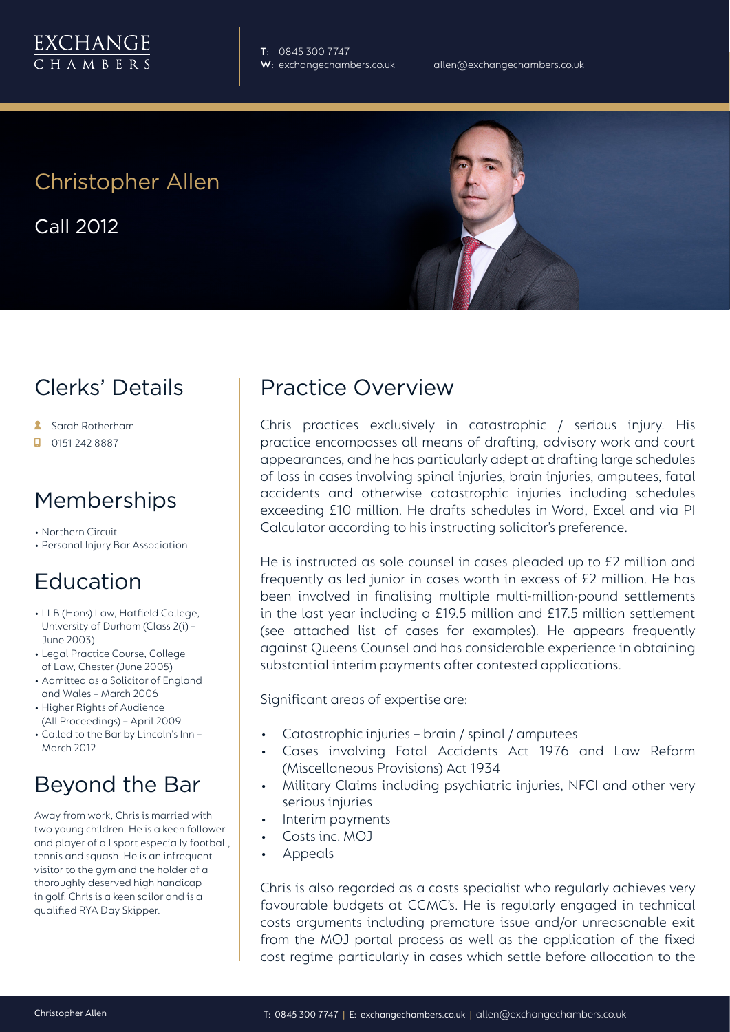

**T**: 0845 300 7747

# Christopher Allen

Call 2012

## Clerks' Details

- Sarah Rotherham
- 0151 242 8887

#### **Memberships**

- Northern Circuit
- Personal Injury Bar Association

## Education

- LLB (Hons) Law, Hatfield College, University of Durham (Class 2(i) – June 2003)
- Legal Practice Course, College of Law, Chester (June 2005)
- Admitted as a Solicitor of England and Wales – March 2006
- Higher Rights of Audience (All Proceedings) – April 2009
- Called to the Bar by Lincoln's Inn March 2012

## Beyond the Bar

Away from work, Chris is married with two young children. He is a keen follower and player of all sport especially football, tennis and squash. He is an infrequent visitor to the gym and the holder of a thoroughly deserved high handicap in golf. Chris is a keen sailor and is a qualified RYA Day Skipper.

#### Practice Overview

Chris practices exclusively in catastrophic / serious injury. His practice encompasses all means of drafting, advisory work and court appearances, and he has particularly adept at drafting large schedules of loss in cases involving spinal injuries, brain injuries, amputees, fatal accidents and otherwise catastrophic injuries including schedules exceeding £10 million. He drafts schedules in Word, Excel and via PI Calculator according to his instructing solicitor's preference.

He is instructed as sole counsel in cases pleaded up to £2 million and frequently as led junior in cases worth in excess of £2 million. He has been involved in finalising multiple multi-million-pound settlements in the last year including a £19.5 million and £17.5 million settlement (see attached list of cases for examples). He appears frequently against Queens Counsel and has considerable experience in obtaining substantial interim payments after contested applications.

Significant areas of expertise are:

- Catastrophic injuries brain / spinal / amputees
- Cases involving Fatal Accidents Act 1976 and Law Reform (Miscellaneous Provisions) Act 1934
- Military Claims including psychiatric injuries, NFCI and other very serious injuries
- Interim payments
- Costs inc. MOJ
- Appeals

Chris is also regarded as a costs specialist who regularly achieves very favourable budgets at CCMC's. He is regularly engaged in technical costs arguments including premature issue and/or unreasonable exit from the MOJ portal process as well as the application of the fixed cost regime particularly in cases which settle before allocation to the